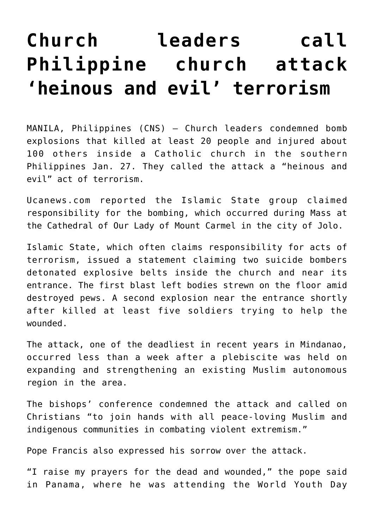## **[Church leaders call](https://www.osvnews.com/2019/01/29/church-leaders-call-philippine-church-attack-heinous-and-evil-terrorism/) [Philippine church attack](https://www.osvnews.com/2019/01/29/church-leaders-call-philippine-church-attack-heinous-and-evil-terrorism/) ['heinous and evil' terrorism](https://www.osvnews.com/2019/01/29/church-leaders-call-philippine-church-attack-heinous-and-evil-terrorism/)**

MANILA, Philippines (CNS) — Church leaders condemned bomb explosions that killed at least 20 people and injured about 100 others inside a Catholic church in the southern Philippines Jan. 27. They called the attack a "heinous and evil" act of terrorism.

Ucanews.com reported the Islamic State group claimed responsibility for the bombing, which occurred during Mass at the Cathedral of Our Lady of Mount Carmel in the city of Jolo.

Islamic State, which often claims responsibility for acts of terrorism, issued a statement claiming two suicide bombers detonated explosive belts inside the church and near its entrance. The first blast left bodies strewn on the floor amid destroyed pews. A second explosion near the entrance shortly after killed at least five soldiers trying to help the wounded.

The attack, one of the deadliest in recent years in Mindanao, occurred less than a week after a plebiscite was held on expanding and strengthening an existing Muslim autonomous region in the area.

The bishops' conference condemned the attack and called on Christians "to join hands with all peace-loving Muslim and indigenous communities in combating violent extremism."

Pope Francis also expressed his sorrow over the attack.

"I raise my prayers for the dead and wounded," the pope said in Panama, where he was attending the World Youth Day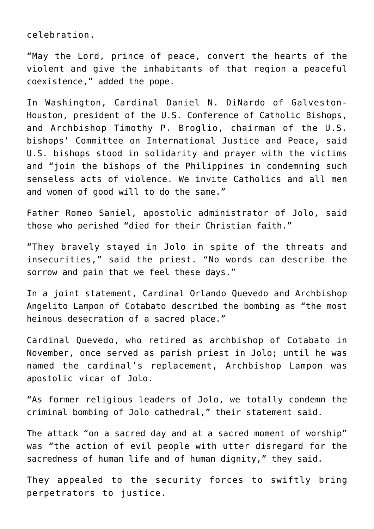celebration.

"May the Lord, prince of peace, convert the hearts of the violent and give the inhabitants of that region a peaceful coexistence," added the pope.

In Washington, Cardinal Daniel N. DiNardo of Galveston-Houston, president of the U.S. Conference of Catholic Bishops, and Archbishop Timothy P. Broglio, chairman of the U.S. bishops' Committee on International Justice and Peace, said U.S. bishops stood in solidarity and prayer with the victims and "join the bishops of the Philippines in condemning such senseless acts of violence. We invite Catholics and all men and women of good will to do the same."

Father Romeo Saniel, apostolic administrator of Jolo, said those who perished "died for their Christian faith."

"They bravely stayed in Jolo in spite of the threats and insecurities," said the priest. "No words can describe the sorrow and pain that we feel these days."

In a joint statement, Cardinal Orlando Quevedo and Archbishop Angelito Lampon of Cotabato described the bombing as "the most heinous desecration of a sacred place."

Cardinal Quevedo, who retired as archbishop of Cotabato in November, once served as parish priest in Jolo; until he was named the cardinal's replacement, Archbishop Lampon was apostolic vicar of Jolo.

"As former religious leaders of Jolo, we totally condemn the criminal bombing of Jolo cathedral," their statement said.

The attack "on a sacred day and at a sacred moment of worship" was "the action of evil people with utter disregard for the sacredness of human life and of human dignity," they said.

They appealed to the security forces to swiftly bring perpetrators to justice.